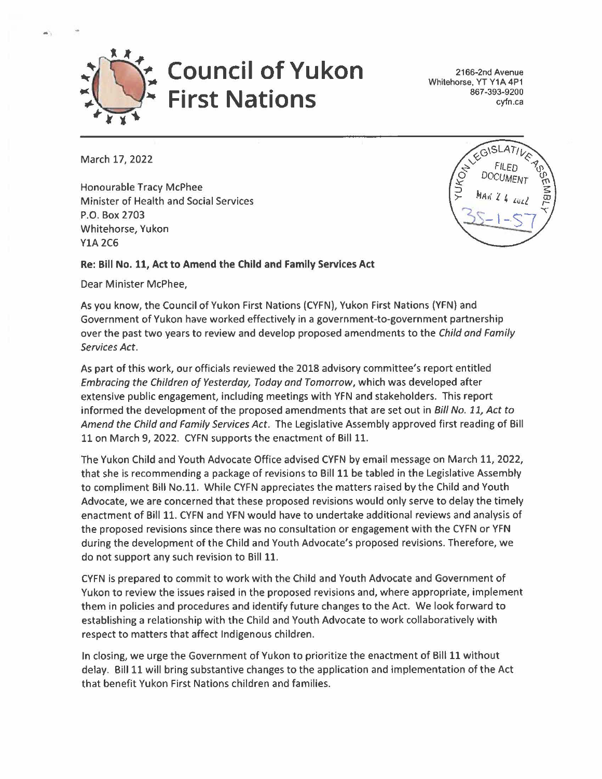

2166-2nd Avenue Whitehorse, YT Y1A 4P1 867 -393-9200 cyfn.ca

March 17, 2022

..

Honourable Tracy McPhee Minister of Health and Social Services P.O. Box 2703 Whitehorse, Yukon YlA 2C6

## **Re: Bill No. 11, Act to Amend the Child and Family Services Act**

Dear Minister McPhee,

As you know, the Council of Yukon First Nations (CYFN), Yukon First Nations (YFN) and Government of Yukon have worked effectively in a government-to-government partnership over the past two years to review and develop proposed amendments to the Child and Family Services Act.

As part of this work, our officials reviewed the 2018 advisory committee's report entitled Embracing the Children of Yesterday, Today and Tomorrow, which was developed after extensive public engagement, including meetings with YFN and stakeholders. This report informed the development of the proposed amendments that are set out in Bill No. 11, Act to Amend the Child and Family Services Act. The Legislative Assembly approved first reading of Bill 11 on March 9, 2022. CYFN supports the enactment of Bill 11.

The Yukon Child and Youth Advocate Office advised CYFN by email message on March 11, 2022, that she is recommending a package of revisions to Bill 11 be tabled in the Legislative Assembly to compliment Bill No.11. While CYFN appreciates the matters raised by the Child and Youth Advocate, we are concerned that these proposed revisions would only serve to delay the timely enactment of Bill 11. CYFN and YFN would have to undertake additional reviews and analysis of the proposed revisions since there was no consultation or engagement with the CYFN or YFN during the development of the Child and Youth Advocate's proposed revisions. Therefore, we do not support any such revision to Bill 11.

CYFN is prepared to commit to work with the Child and Youth Advocate and Government of Yukon to review the issues raised in the proposed revisions and, where appropriate, implement them in policies and procedures and identify future changes to the Act. We look forward to establishing a relationship with the Child and Youth Advocate to work collaboratively with respect to matters that affect Indigenous children.

In closing, we urge the Government of Yukon to prioritize the enactment of Bill 11 without delay. Bill 11 will bring substantive changes to the application and implementation of the Act that benefit Yukon First Nations children and families.